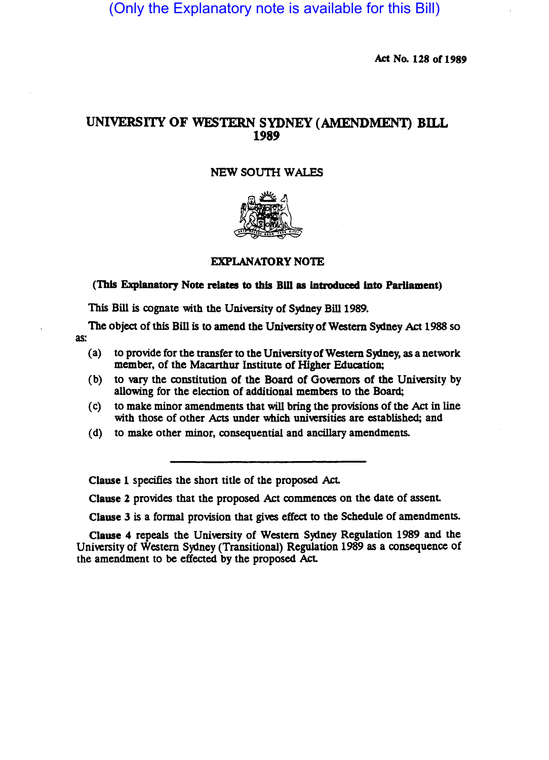(Only the Explanatory note is available for this Bill)

Act No. 128 of 1989

# UNIVERSITY OF WESTERN SYDNEY (AMENDMENT) BILL 1989

## NEW SOUTH WALES



#### EXPLANATORY NOTE

## (This Explanatory Note relates to this Bill as introduced into Parliament)

This Bill is cognate with the University of Sydney Bill 1989.

The object of this Bill is to amend the University of Western Sydney Act 1988 so as:

- (a) to provide for the transfer to the University of Western Sydney, as a network member, of the Macarthur Institute of Higher Education;
- (b) to vary the constitution of the Board of Governors of the University by allowing for the election of additional members to the Board;
- (c) to make minor amendments that will bring the provisions of the Act in line with those of other Acts under which universities are established; and
- (d) to make other minor, consequential and ancillary amendments.

Clause 1 specifies the short title of the proposed Act.

Clause 2 provides that the proposed Act commences on the date of assent.

Clause 3 is a formal provision that gives effect to the Schedule of amendments.

Clause 4 repeals the University of Western Sydney Regulation 1989 and the University of Western Sydney (Transitional) Regulation 1989 as a consequence of the amendment to be effected by the proposed Act.